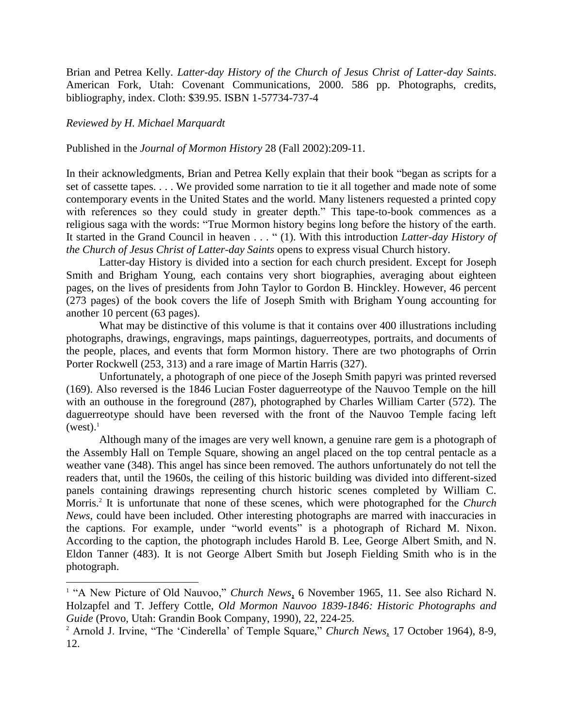Brian and Petrea Kelly. *Latter-day History of the Church of Jesus Christ of Latter-day Saints*. American Fork, Utah: Covenant Communications, 2000. 586 pp. Photographs, credits, bibliography, index. Cloth: \$39.95. ISBN 1-57734-737-4

*Reviewed by H. Michael Marquardt*

 $\overline{a}$ 

Published in the *Journal of Mormon History* 28 (Fall 2002):209-11.

In their acknowledgments, Brian and Petrea Kelly explain that their book "began as scripts for a set of cassette tapes. . . . We provided some narration to tie it all together and made note of some contemporary events in the United States and the world. Many listeners requested a printed copy with references so they could study in greater depth." This tape-to-book commences as a religious saga with the words: "True Mormon history begins long before the history of the earth. It started in the Grand Council in heaven . . . " (1). With this introduction *Latter-day History of the Church of Jesus Christ of Latter-day Saints* opens to express visual Church history.

Latter-day History is divided into a section for each church president. Except for Joseph Smith and Brigham Young, each contains very short biographies, averaging about eighteen pages, on the lives of presidents from John Taylor to Gordon B. Hinckley. However, 46 percent (273 pages) of the book covers the life of Joseph Smith with Brigham Young accounting for another 10 percent (63 pages).

What may be distinctive of this volume is that it contains over 400 illustrations including photographs, drawings, engravings, maps paintings, daguerreotypes, portraits, and documents of the people, places, and events that form Mormon history. There are two photographs of Orrin Porter Rockwell (253, 313) and a rare image of Martin Harris (327).

Unfortunately, a photograph of one piece of the Joseph Smith papyri was printed reversed (169). Also reversed is the 1846 Lucian Foster daguerreotype of the Nauvoo Temple on the hill with an outhouse in the foreground (287), photographed by Charles William Carter (572). The daguerreotype should have been reversed with the front of the Nauvoo Temple facing left  $(west).<sup>1</sup>$ 

Although many of the images are very well known, a genuine rare gem is a photograph of the Assembly Hall on Temple Square, showing an angel placed on the top central pentacle as a weather vane (348). This angel has since been removed. The authors unfortunately do not tell the readers that, until the 1960s, the ceiling of this historic building was divided into different-sized panels containing drawings representing church historic scenes completed by William C. Morris.<sup>2</sup> It is unfortunate that none of these scenes, which were photographed for the *Church News*, could have been included. Other interesting photographs are marred with inaccuracies in the captions. For example, under "world events" is a photograph of Richard M. Nixon. According to the caption, the photograph includes Harold B. Lee, George Albert Smith, and N. Eldon Tanner (483). It is not George Albert Smith but Joseph Fielding Smith who is in the photograph.

<sup>&</sup>lt;sup>1</sup> "A New Picture of Old Nauvoo," *Church News*, 6 November 1965, 11. See also Richard N. Holzapfel and T. Jeffery Cottle, *Old Mormon Nauvoo 1839-1846: Historic Photographs and Guide* (Provo, Utah: Grandin Book Company, 1990), 22, 224-25.

<sup>&</sup>lt;sup>2</sup> Arnold J. Irvine, "The 'Cinderella' of Temple Square," *Church News*, 17 October 1964), 8-9, 12.